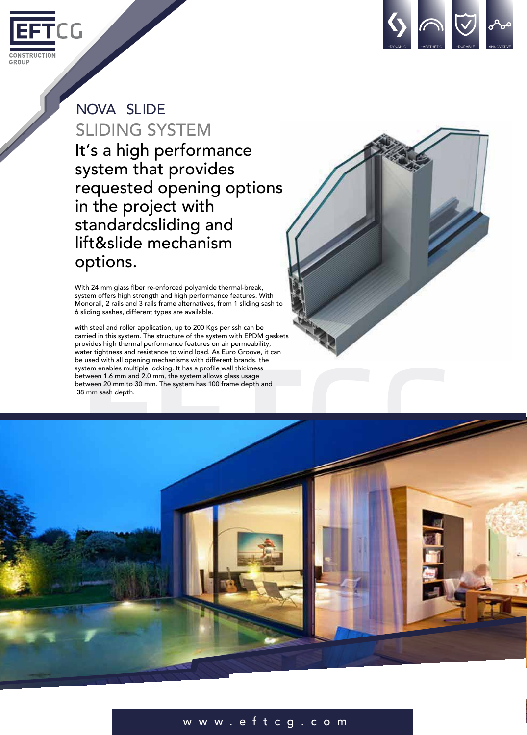



## NOVA SLIDE SLIDING SYSTEM It's a high performance system that provides requested opening options in the project with standardcsliding and lift&slide mechanism options.

With 24 mm glass fiber re-enforced polyamide thermal-break, system offers high strength and high performance features. With Monorail, 2 rails and 3 rails frame alternatives, from 1 sliding sash to 6 sliding sashes, different types are available.

with steel and roller application, up to 200 Kgs per ssh can be carried in this system. The structure of the system with EPDM gaskets provides high thermal performance features on air permeability, water tightness and resistance to wind load. As Euro Groove, it can be used with all opening mechanisms with different brands. the system enables multiple locking. It has a profile wall thickness between 1.6 mm and 2.0 mm, the system allows glass usage between 20 mm to 30 mm. The system has 100 frame depth and 38 mm sash depth.